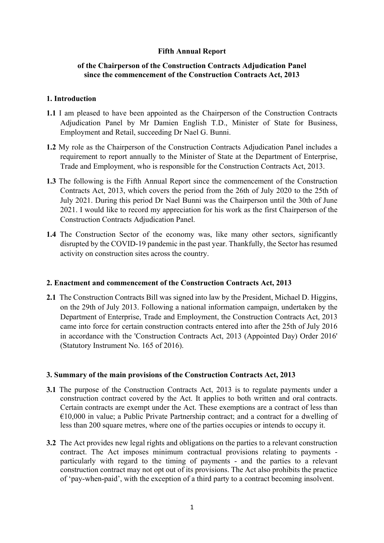## Fifth Annual Report

## of the Chairperson of the Construction Contracts Adjudication Panel since the commencement of the Construction Contracts Act, 2013

## 1. Introduction

- 1.1 I am pleased to have been appointed as the Chairperson of the Construction Contracts Adjudication Panel by Mr Damien English T.D., Minister of State for Business, Employment and Retail, succeeding Dr Nael G. Bunni.
- 1.2 My role as the Chairperson of the Construction Contracts Adjudication Panel includes a requirement to report annually to the Minister of State at the Department of Enterprise, Trade and Employment, who is responsible for the Construction Contracts Act, 2013.
- 1.3 The following is the Fifth Annual Report since the commencement of the Construction Contracts Act, 2013, which covers the period from the 26th of July 2020 to the 25th of July 2021. During this period Dr Nael Bunni was the Chairperson until the 30th of June 2021. I would like to record my appreciation for his work as the first Chairperson of the Construction Contracts Adjudication Panel.
- 1.4 The Construction Sector of the economy was, like many other sectors, significantly disrupted by the COVID-19 pandemic in the past year. Thankfully, the Sector has resumed activity on construction sites across the country.

#### 2. Enactment and commencement of the Construction Contracts Act, 2013

2.1 The Construction Contracts Bill was signed into law by the President, Michael D. Higgins, on the 29th of July 2013. Following a national information campaign, undertaken by the Department of Enterprise, Trade and Employment, the Construction Contracts Act, 2013 came into force for certain construction contracts entered into after the 25th of July 2016 in accordance with the 'Construction Contracts Act, 2013 (Appointed Day) Order 2016' (Statutory Instrument No. 165 of 2016).

#### 3. Summary of the main provisions of the Construction Contracts Act, 2013

- 3.1 The purpose of the Construction Contracts Act, 2013 is to regulate payments under a construction contract covered by the Act. It applies to both written and oral contracts. Certain contracts are exempt under the Act. These exemptions are a contract of less than  $€10,000$  in value; a Public Private Partnership contract; and a contract for a dwelling of less than 200 square metres, where one of the parties occupies or intends to occupy it.
- 3.2 The Act provides new legal rights and obligations on the parties to a relevant construction contract. The Act imposes minimum contractual provisions relating to payments particularly with regard to the timing of payments - and the parties to a relevant construction contract may not opt out of its provisions. The Act also prohibits the practice of 'pay-when-paid', with the exception of a third party to a contract becoming insolvent.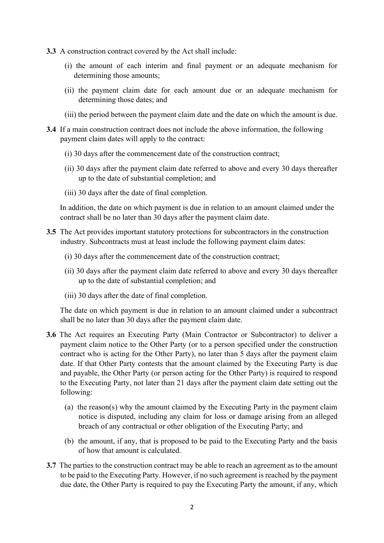- 3.3 A construction contract covered by the Act shall include:
	- (i) the amount of each interim and final payment or an adequate mechanism for determining those amounts;
	- (ii) the payment claim date for each amount due or an adequate mechanism for determining those dates; and
	- (iii) the period between the payment claim date and the date on which the amount is due.
- 3.4 If a main construction contract does not include the above information, the following payment claim dates will apply to the contract:
	- (i) 30 days after the commencement date of the construction contract;
	- (ii) 30 days after the payment claim date referred to above and every 30 days thereafter up to the date of substantial completion; and
	- (iii) 30 days after the date of final completion.

 In addition, the date on which payment is due in relation to an amount claimed under the contract shall be no later than 30 days after the payment claim date.

- 3.5 The Act provides important statutory protections for subcontractors in the construction industry. Subcontracts must at least include the following payment claim dates:
	- (i) 30 days after the commencement date of the construction contract;
	- (ii) 30 days after the payment claim date referred to above and every 30 days thereafter up to the date of substantial completion; and
	- (iii) 30 days after the date of final completion.

 The date on which payment is due in relation to an amount claimed under a subcontract shall be no later than 30 days after the payment claim date.

- 3.6 The Act requires an Executing Party (Main Contractor or Subcontractor) to deliver a payment claim notice to the Other Party (or to a person specified under the construction contract who is acting for the Other Party), no later than 5 days after the payment claim date. If that Other Party contests that the amount claimed by the Executing Party is due and payable, the Other Party (or person acting for the Other Party) is required to respond to the Executing Party, not later than 21 days after the payment claim date setting out the following:
	- (a) the reason(s) why the amount claimed by the Executing Party in the payment claim notice is disputed, including any claim for loss or damage arising from an alleged breach of any contractual or other obligation of the Executing Party; and
	- (b) the amount, if any, that is proposed to be paid to the Executing Party and the basis of how that amount is calculated.
- 3.7 The parties to the construction contract may be able to reach an agreement as to the amount to be paid to the Executing Party. However, if no such agreement is reached by the payment due date, the Other Party is required to pay the Executing Party the amount, if any, which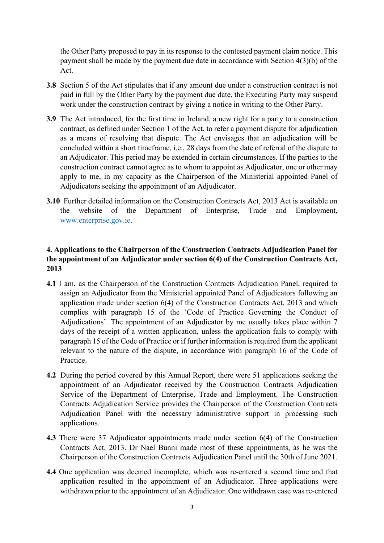the Other Party proposed to pay in its response to the contested payment claim notice. This payment shall be made by the payment due date in accordance with Section 4(3)(b) of the Act.

- 3.8 Section 5 of the Act stipulates that if any amount due under a construction contract is not paid in full by the Other Party by the payment due date, the Executing Party may suspend work under the construction contract by giving a notice in writing to the Other Party.
- 3.9 The Act introduced, for the first time in Ireland, a new right for a party to a construction contract, as defined under Section 1 of the Act, to refer a payment dispute for adjudication as a means of resolving that dispute. The Act envisages that an adjudication will be concluded within a short timeframe, i.e., 28 days from the date of referral of the dispute to an Adjudicator. This period may be extended in certain circumstances. If the parties to the construction contract cannot agree as to whom to appoint as Adjudicator, one or other may apply to me, in my capacity as the Chairperson of the Ministerial appointed Panel of Adjudicators seeking the appointment of an Adjudicator.
- 3.10 Further detailed information on the Construction Contracts Act, 2013 Act is available on the website of the Department of Enterprise, Trade and Employment, www.enterprise.gov.ie.

## 4. Applications to the Chairperson of the Construction Contracts Adjudication Panel for the appointment of an Adjudicator under section 6(4) of the Construction Contracts Act, 2013

- 4.1 I am, as the Chairperson of the Construction Contracts Adjudication Panel, required to assign an Adjudicator from the Ministerial appointed Panel of Adjudicators following an application made under section 6(4) of the Construction Contracts Act, 2013 and which complies with paragraph 15 of the 'Code of Practice Governing the Conduct of Adjudications'. The appointment of an Adjudicator by me usually takes place within 7 days of the receipt of a written application, unless the application fails to comply with paragraph 15 of the Code of Practice or if further information is required from the applicant relevant to the nature of the dispute, in accordance with paragraph 16 of the Code of Practice.
- 4.2 During the period covered by this Annual Report, there were 51 applications seeking the appointment of an Adjudicator received by the Construction Contracts Adjudication Service of the Department of Enterprise, Trade and Employment. The Construction Contracts Adjudication Service provides the Chairperson of the Construction Contracts Adjudication Panel with the necessary administrative support in processing such applications.
- 4.3 There were 37 Adjudicator appointments made under section 6(4) of the Construction Contracts Act, 2013. Dr Nael Bunni made most of these appointments, as he was the Chairperson of the Construction Contracts Adjudication Panel until the 30th of June 2021.
- 4.4 One application was deemed incomplete, which was re-entered a second time and that application resulted in the appointment of an Adjudicator. Three applications were withdrawn prior to the appointment of an Adjudicator. One withdrawn case was re-entered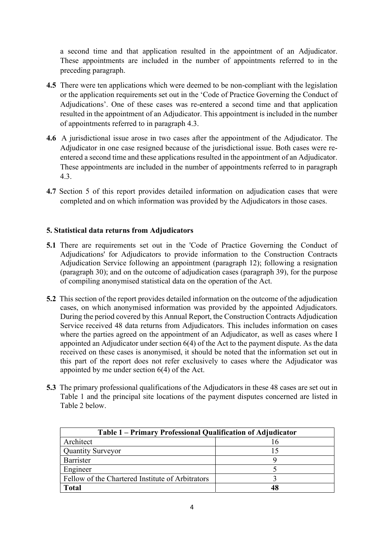a second time and that application resulted in the appointment of an Adjudicator. These appointments are included in the number of appointments referred to in the preceding paragraph.

- 4.5 There were ten applications which were deemed to be non-compliant with the legislation or the application requirements set out in the 'Code of Practice Governing the Conduct of Adjudications'. One of these cases was re-entered a second time and that application resulted in the appointment of an Adjudicator. This appointment is included in the number of appointments referred to in paragraph 4.3.
- 4.6 A jurisdictional issue arose in two cases after the appointment of the Adjudicator. The Adjudicator in one case resigned because of the jurisdictional issue. Both cases were reentered a second time and these applications resulted in the appointment of an Adjudicator. These appointments are included in the number of appointments referred to in paragraph 4.3.
- 4.7 Section 5 of this report provides detailed information on adjudication cases that were completed and on which information was provided by the Adjudicators in those cases.

## 5. Statistical data returns from Adjudicators

- 5.1 There are requirements set out in the 'Code of Practice Governing the Conduct of Adjudications' for Adjudicators to provide information to the Construction Contracts Adjudication Service following an appointment (paragraph 12); following a resignation (paragraph 30); and on the outcome of adjudication cases (paragraph 39), for the purpose of compiling anonymised statistical data on the operation of the Act.
- 5.2 This section of the report provides detailed information on the outcome of the adjudication cases, on which anonymised information was provided by the appointed Adjudicators. During the period covered by this Annual Report, the Construction Contracts Adjudication Service received 48 data returns from Adjudicators. This includes information on cases where the parties agreed on the appointment of an Adjudicator, as well as cases where I appointed an Adjudicator under section 6(4) of the Act to the payment dispute. As the data received on these cases is anonymised, it should be noted that the information set out in this part of the report does not refer exclusively to cases where the Adjudicator was appointed by me under section 6(4) of the Act.
- 5.3 The primary professional qualifications of the Adjudicators in these 48 cases are set out in Table 1 and the principal site locations of the payment disputes concerned are listed in Table 2 below.

| Table 1 – Primary Professional Qualification of Adjudicator |                          |  |  |
|-------------------------------------------------------------|--------------------------|--|--|
| Architect                                                   |                          |  |  |
| <b>Quantity Surveyor</b>                                    | $\overline{\phantom{a}}$ |  |  |
| Barrister                                                   |                          |  |  |
| Engineer                                                    |                          |  |  |
| Fellow of the Chartered Institute of Arbitrators            |                          |  |  |
| <b>Total</b>                                                | 48                       |  |  |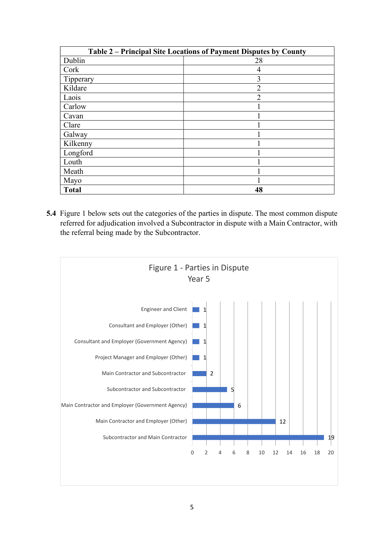| Table 2 - Principal Site Locations of Payment Disputes by County |                                                                                                                                                                                         |  |  |
|------------------------------------------------------------------|-----------------------------------------------------------------------------------------------------------------------------------------------------------------------------------------|--|--|
| Dublin                                                           | 28                                                                                                                                                                                      |  |  |
| Cork                                                             | $\overline{4}$                                                                                                                                                                          |  |  |
| Tipperary                                                        | $\overline{3}$                                                                                                                                                                          |  |  |
| Kildare                                                          | $\overline{2}$                                                                                                                                                                          |  |  |
| Laois                                                            | $\overline{2}$                                                                                                                                                                          |  |  |
| Carlow                                                           | $\mathbf{1}$                                                                                                                                                                            |  |  |
| Cavan                                                            | $\mathbf{1}$                                                                                                                                                                            |  |  |
| Clare                                                            |                                                                                                                                                                                         |  |  |
| Galway                                                           |                                                                                                                                                                                         |  |  |
| Kilkenny                                                         | $\mathbf{1}$                                                                                                                                                                            |  |  |
| Longford                                                         |                                                                                                                                                                                         |  |  |
| Louth                                                            | $\mathbf{1}$                                                                                                                                                                            |  |  |
|                                                                  | $\mathbf{1}$                                                                                                                                                                            |  |  |
| Meath                                                            |                                                                                                                                                                                         |  |  |
| Mayo                                                             | 1                                                                                                                                                                                       |  |  |
| <b>Total</b>                                                     | 48                                                                                                                                                                                      |  |  |
| the referral being made by the Subcontractor.                    | Figure 1 below sets out the categories of the parties in dispute. The most common dispute<br>referred for adjudication involved a Subcontractor in dispute with a Main Contractor, with |  |  |
|                                                                  | Figure 1 - Parties in Dispute<br>Year 5                                                                                                                                                 |  |  |

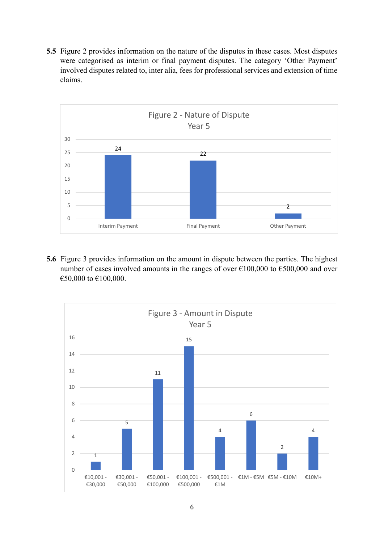5.5 Figure 2 provides information on the nature of the disputes in these cases. Most disputes were categorised as interim or final payment disputes. The category 'Other Payment' involved disputes related to, inter alia, fees for professional services and extension of time claims.



5.6 Figure 3 provides information on the amount in dispute between the parties. The highest number of cases involved amounts in the ranges of over  $\epsilon$ 100,000 to  $\epsilon$ 500,000 and over €50,000 to €100,000.

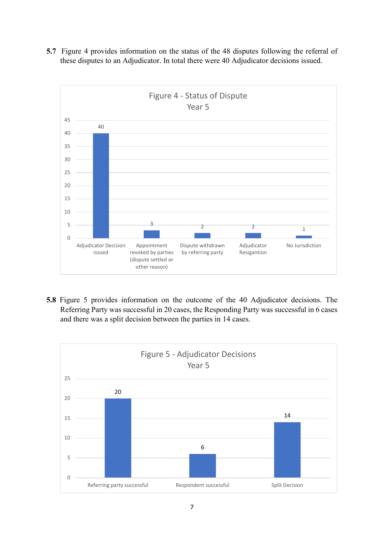- 40  $\frac{3}{2}$   $\frac{2}{2}$ Some Strategier<br>
2 2 2 1<br>
Withdrawn Adjudicator No Jurisdiction<br>
Tring party Resigantion<br>
Resigantion  $0 \sim$  0.000  $\sim$  0.000  $\sim$  0.000  $\sim$  0.000  $\sim$  0.000  $\sim$  0.000  $\sim$  0.000  $\sim$  0.000  $\sim$  0.000  $\sim$  0.000  $\sim$  0.000  $\sim$  0.000  $\sim$  0.000  $\sim$  0.000  $\sim$  0.000  $\sim$  0.000  $\sim$  0.000  $\sim$  0.000  $\sim$  0.000  $\sim$  0.000  $5 \longrightarrow 3$ 10 15 20 — **Participation Contract Contract Contract Contract Contract Contract Contract Contract Contract Contract Contract Contract Contract Contract Contract Contract Contract Contract Contract Contract Contract Contract Co** 25 — **Participate Structure (1997)** 30 — **12 de abril 12 de abril 12 de abril 12 de abril 12 de abril 12 de abril 12 de abril 12 de abril 12 de ab** 35 40 — **1990** — 1990 — 1990 — 1990 — 1990 — 1990 — 1990 — 1990 — 1990 — 1990 — 1990 — 1990 — 1990 — 1990 — 1990 — 1990 — 1990 — 1990 — 1990 — 1990 — 1990 — 1990 — 1990 — 1990 — 1990 — 1990 — 1990 — 1990 — 1990 — 1990 — 1990 45 Adjudicator Decision Appointment issued erevoked by parties by referring party Resiga Appointment Dispute withdrawn (dispute settled or other reason) by referring party Adjudicator Mo Jurisdiction and all the North States and Adjudicator and Mo Resigantion on on the status of the 48 disputes following the referral of<br>tor. In total there were 40 Adjudicator decisions issued.<br>Figure 4 - Status of Dispute<br>Year 5 Year 5 <sup>3</sup> <sup>2</sup> <sup>2</sup> <sup>1</sup><br> **Examplement Dispute withdrawn** Adjudicator<br>
Head by parties by referring party Resignation<br>
Must settled or<br>
Merreason)<br>
and<br>
mation on the outcome of the 40 Adjudicator decisions. The<br>
Sesful in 20 cases
- 5.7 Figure 4 provides information on the status of the 48 disputes following the referral of these disputes to an Adjudicator. In total there were 40 Adjudicator decisions issued.

5.8 Figure 5 provides information on the outcome of the 40 Adjudicator decisions. The Referring Party was successful in 20 cases, the Responding Party was successful in 6 cases and there was a split decision between the parties in 14 cases.

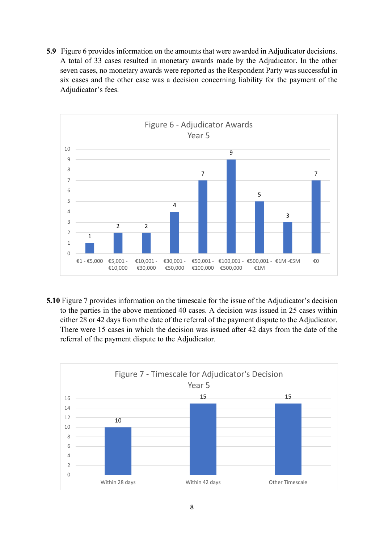5.9 Figure 6 provides information on the amounts that were awarded in Adjudicator decisions. A total of 33 cases resulted in monetary awards made by the Adjudicator. In the other seven cases, no monetary awards were reported as the Respondent Party was successful in six cases and the other case was a decision concerning liability for the payment of the Adjudicator's fees.



5.10 Figure 7 provides information on the timescale for the issue of the Adjudicator's decision to the parties in the above mentioned 40 cases. A decision was issued in 25 cases within either 28 or 42 days from the date of the referral of the payment dispute to the Adjudicator. There were 15 cases in which the decision was issued after 42 days from the date of the referral of the payment dispute to the Adjudicator.

![](_page_7_Figure_3.jpeg)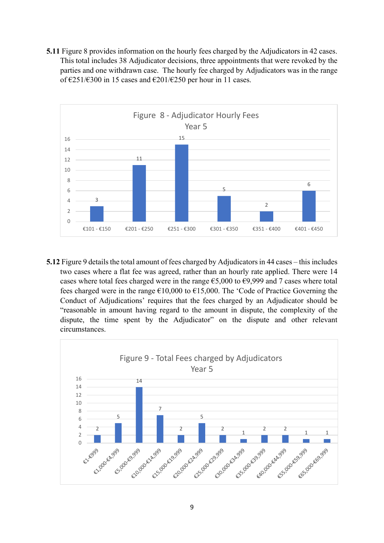5.11 Figure 8 provides information on the hourly fees charged by the Adjudicators in 42 cases. This total includes 38 Adjudicator decisions, three appointments that were revoked by the parties and one withdrawn case. The hourly fee charged by Adjudicators was in the range of €251/€300 in 15 cases and €201/€250 per hour in 11 cases.

![](_page_8_Figure_1.jpeg)

5.12 Figure 9 details the total amount of fees charged by Adjudicators in 44 cases – this includes two cases where a flat fee was agreed, rather than an hourly rate applied. There were 14 cases where total fees charged were in the range  $\epsilon$ 5,000 to  $\epsilon$ 9,999 and 7 cases where total fees charged were in the range  $\epsilon$ 10,000 to  $\epsilon$ 15,000. The 'Code of Practice Governing the Conduct of Adjudications' requires that the fees charged by an Adjudicator should be "reasonable in amount having regard to the amount in dispute, the complexity of the dispute, the time spent by the Adjudicator" on the dispute and other relevant circumstances. <sup>2</sup><br>
Figure 9 - Total Figure 9 - Total Fees charged by Adjudicators in 44 cases – this includes<br>
flat fee was agreed, rather than an hourly rate applied. There were 14<br>
total amount of fees charged by Adjudicators in 44 c

![](_page_8_Figure_3.jpeg)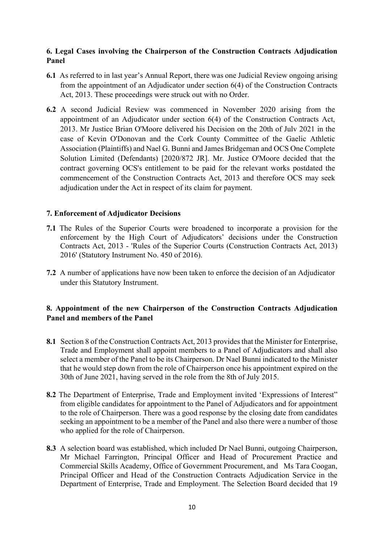## 6. Legal Cases involving the Chairperson of the Construction Contracts Adjudication Panel

- 6.1 As referred to in last year's Annual Report, there was one Judicial Review ongoing arising from the appointment of an Adjudicator under section 6(4) of the Construction Contracts Act, 2013. These proceedings were struck out with no Order.
- 6.2 A second Judicial Review was commenced in November 2020 arising from the appointment of an Adjudicator under section 6(4) of the Construction Contracts Act, 2013. Mr Justice Brian O'Moore delivered his Decision on the 20th of Julv 2021 in the case of Kevin O'Donovan and the Cork County Committee of the Gaelic Athletic Association (Plaintiffs) and Nael G. Bunni and James Bridgeman and OCS One Complete Solution Limited (Defendants) [2020/872 JR]. Mr. Justice O'Moore decided that the contract governing OCS's entitlement to be paid for the relevant works postdated the commencement of the Construction Contracts Act, 2013 and therefore OCS may seek adjudication under the Act in respect of its claim for payment.

### 7. Enforcement of Adjudicator Decisions

- 7.1 The Rules of the Superior Courts were broadened to incorporate a provision for the enforcement by the High Court of Adjudicators' decisions under the Construction Contracts Act, 2013 - 'Rules of the Superior Courts (Construction Contracts Act, 2013) 2016' (Statutory Instrument No. 450 of 2016).
- 7.2 A number of applications have now been taken to enforce the decision of an Adjudicator under this Statutory Instrument.

## 8. Appointment of the new Chairperson of the Construction Contracts Adjudication Panel and members of the Panel

- 8.1 Section 8 of the Construction Contracts Act, 2013 provides that the Minister for Enterprise, Trade and Employment shall appoint members to a Panel of Adjudicators and shall also select a member of the Panel to be its Chairperson. Dr Nael Bunni indicated to the Minister that he would step down from the role of Chairperson once his appointment expired on the 30th of June 2021, having served in the role from the 8th of July 2015.
- 8.2 The Department of Enterprise, Trade and Employment invited 'Expressions of Interest" from eligible candidates for appointment to the Panel of Adjudicators and for appointment to the role of Chairperson. There was a good response by the closing date from candidates seeking an appointment to be a member of the Panel and also there were a number of those who applied for the role of Chairperson.
- 8.3 A selection board was established, which included Dr Nael Bunni, outgoing Chairperson, Mr Michael Farrington, Principal Officer and Head of Procurement Practice and Commercial Skills Academy, Office of Government Procurement, and Ms Tara Coogan, Principal Officer and Head of the Construction Contracts Adjudication Service in the Department of Enterprise, Trade and Employment. The Selection Board decided that 19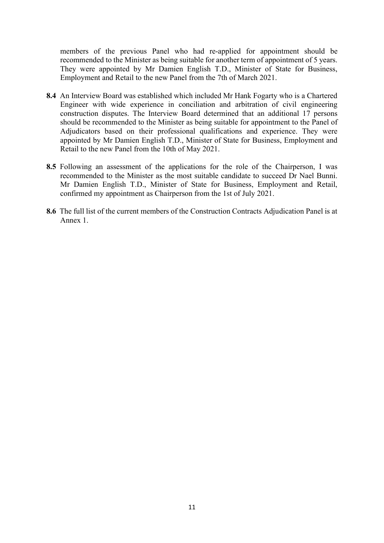members of the previous Panel who had re-applied for appointment should be recommended to the Minister as being suitable for another term of appointment of 5 years. They were appointed by Mr Damien English T.D., Minister of State for Business, Employment and Retail to the new Panel from the 7th of March 2021.

- 8.4 An Interview Board was established which included Mr Hank Fogarty who is a Chartered Engineer with wide experience in conciliation and arbitration of civil engineering construction disputes. The Interview Board determined that an additional 17 persons should be recommended to the Minister as being suitable for appointment to the Panel of Adjudicators based on their professional qualifications and experience. They were appointed by Mr Damien English T.D., Minister of State for Business, Employment and Retail to the new Panel from the 10th of May 2021.
- 8.5 Following an assessment of the applications for the role of the Chairperson, I was recommended to the Minister as the most suitable candidate to succeed Dr Nael Bunni. Mr Damien English T.D., Minister of State for Business, Employment and Retail, confirmed my appointment as Chairperson from the 1st of July 2021.
- 8.6 The full list of the current members of the Construction Contracts Adjudication Panel is at Annex 1.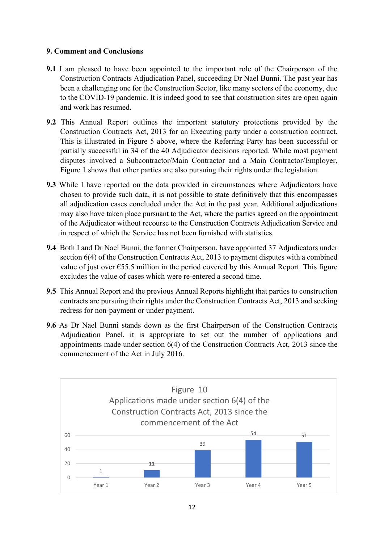## 9. Comment and Conclusions

- 9.1 I am pleased to have been appointed to the important role of the Chairperson of the Construction Contracts Adjudication Panel, succeeding Dr Nael Bunni. The past year has been a challenging one for the Construction Sector, like many sectors of the economy, due to the COVID-19 pandemic. It is indeed good to see that construction sites are open again and work has resumed.
- 9.2 This Annual Report outlines the important statutory protections provided by the Construction Contracts Act, 2013 for an Executing party under a construction contract. This is illustrated in Figure 5 above, where the Referring Party has been successful or partially successful in 34 of the 40 Adjudicator decisions reported. While most payment disputes involved a Subcontractor/Main Contractor and a Main Contractor/Employer, Figure 1 shows that other parties are also pursuing their rights under the legislation.
- 9.3 While I have reported on the data provided in circumstances where Adjudicators have chosen to provide such data, it is not possible to state definitively that this encompasses all adjudication cases concluded under the Act in the past year. Additional adjudications may also have taken place pursuant to the Act, where the parties agreed on the appointment of the Adjudicator without recourse to the Construction Contracts Adjudication Service and in respect of which the Service has not been furnished with statistics.
- 9.4 Both I and Dr Nael Bunni, the former Chairperson, have appointed 37 Adjudicators under section 6(4) of the Construction Contracts Act, 2013 to payment disputes with a combined value of just over  $\epsilon$ 55.5 million in the period covered by this Annual Report. This figure excludes the value of cases which were re-entered a second time.
- 9.5 This Annual Report and the previous Annual Reports highlight that parties to construction contracts are pursuing their rights under the Construction Contracts Act, 2013 and seeking redress for non-payment or under payment.
- 9.6 As Dr Nael Bunni stands down as the first Chairperson of the Construction Contracts Adjudication Panel, it is appropriate to set out the number of applications and appointments made under section 6(4) of the Construction Contracts Act, 2013 since the commencement of the Act in July 2016.

![](_page_11_Figure_7.jpeg)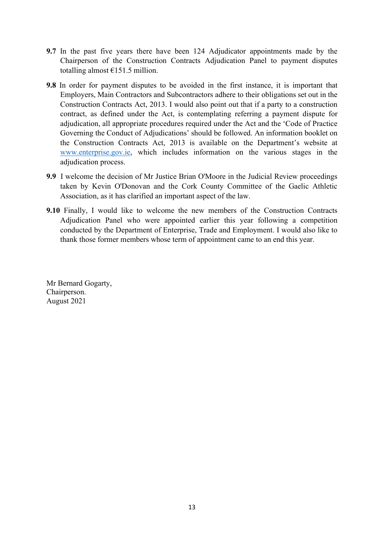- 9.7 In the past five years there have been 124 Adjudicator appointments made by the Chairperson of the Construction Contracts Adjudication Panel to payment disputes totalling almost  $£151.5$  million.
- 9.8 In order for payment disputes to be avoided in the first instance, it is important that Employers, Main Contractors and Subcontractors adhere to their obligations set out in the Construction Contracts Act, 2013. I would also point out that if a party to a construction contract, as defined under the Act, is contemplating referring a payment dispute for adjudication, all appropriate procedures required under the Act and the 'Code of Practice Governing the Conduct of Adjudications' should be followed. An information booklet on the Construction Contracts Act, 2013 is available on the Department's website at www.enterprise.gov.ie, which includes information on the various stages in the adjudication process.
- 9.9 I welcome the decision of Mr Justice Brian O'Moore in the Judicial Review proceedings taken by Kevin O'Donovan and the Cork County Committee of the Gaelic Athletic Association, as it has clarified an important aspect of the law.
- 9.10 Finally, I would like to welcome the new members of the Construction Contracts Adjudication Panel who were appointed earlier this year following a competition conducted by the Department of Enterprise, Trade and Employment. I would also like to thank those former members whose term of appointment came to an end this year.

Mr Bernard Gogarty, Chairperson. August 2021